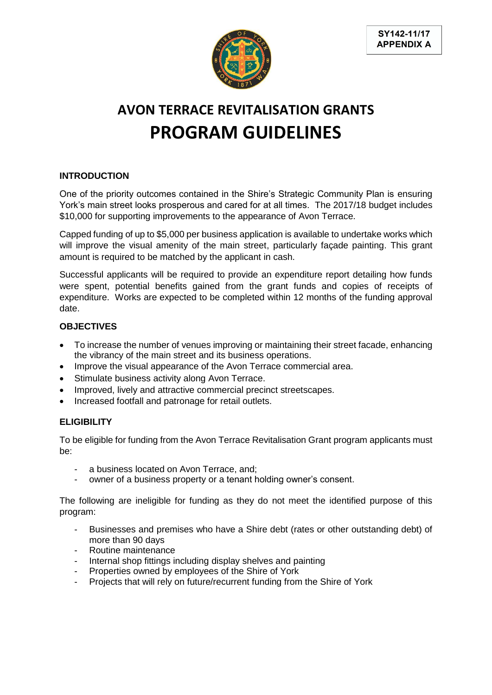

# **AVON TERRACE REVITALISATION GRANTS PROGRAM GUIDELINES**

## **INTRODUCTION**

One of the priority outcomes contained in the Shire's Strategic Community Plan is ensuring York's main street looks prosperous and cared for at all times. The 2017/18 budget includes \$10,000 for supporting improvements to the appearance of Avon Terrace.

Capped funding of up to \$5,000 per business application is available to undertake works which will improve the visual amenity of the main street, particularly façade painting. This grant amount is required to be matched by the applicant in cash.

Successful applicants will be required to provide an expenditure report detailing how funds were spent, potential benefits gained from the grant funds and copies of receipts of expenditure. Works are expected to be completed within 12 months of the funding approval date.

### **OBJECTIVES**

- To increase the number of venues improving or maintaining their street facade, enhancing the vibrancy of the main street and its business operations.
- Improve the visual appearance of the Avon Terrace commercial area.
- Stimulate business activity along Avon Terrace.
- Improved, lively and attractive commercial precinct streetscapes.
- Increased footfall and patronage for retail outlets.

### **ELIGIBILITY**

To be eligible for funding from the Avon Terrace Revitalisation Grant program applicants must be:

- a business located on Avon Terrace, and;
- owner of a business property or a tenant holding owner's consent.

The following are ineligible for funding as they do not meet the identified purpose of this program:

- Businesses and premises who have a Shire debt (rates or other outstanding debt) of more than 90 days
- Routine maintenance
- Internal shop fittings including display shelves and painting
- Properties owned by employees of the Shire of York
- Projects that will rely on future/recurrent funding from the Shire of York